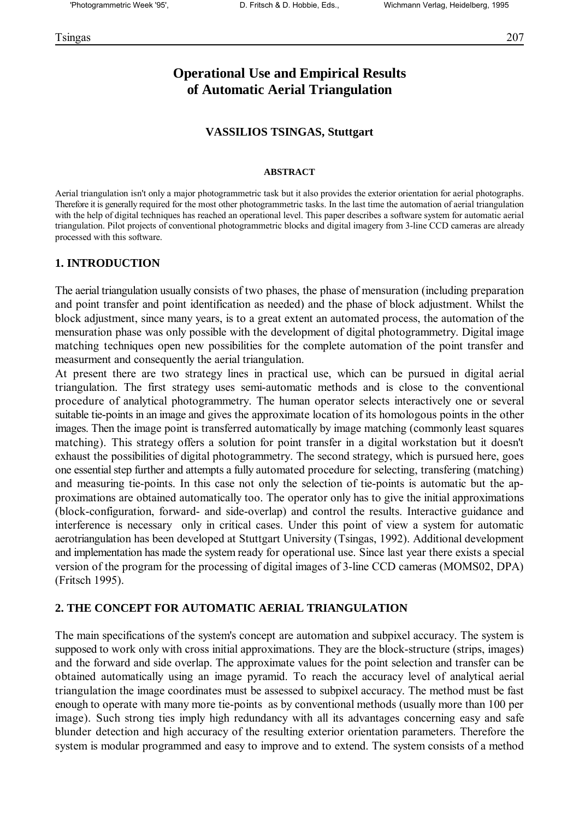# **Operational Use and Empirical Results of Automatic Aerial Triangulation**

### **VASSILIOS TSINGAS, Stuttgart**

### **ABSTRACT**

Aerial triangulation isn't only a major photogrammetric task but it also provides the exterior orientation for aerial photographs. Therefore it is generally required for the most other photogrammetric tasks. In the last time the automation of aerial triangulation with the help of digital techniques has reached an operational level. This paper describes a software system for automatic aerial triangulation. Pilot projects of conventional photogrammetric blocks and digital imagery from 3-line CCD cameras are already processed with this software.

### **1. INTRODUCTION**

The aerial triangulation usually consists of two phases, the phase of mensuration (including preparation and point transfer and point identification as needed) and the phase of block adjustment. Whilst the block adjustment, since many years, is to a great extent an automated process, the automation of the mensuration phase was only possible with the development of digital photogrammetry. Digital image matching techniques open new possibilities for the complete automation of the point transfer and measurment and consequently the aerial triangulation.

At present there are two strategy lines in practical use, which can be pursued in digital aerial triangulation. The first strategy uses semi-automatic methods and is close to the conventional procedure of analytical photogrammetry. The human operator selects interactively one or several suitable tie-points in an image and gives the approximate location of its homologous points in the other images. Then the image point is transferred automatically by image matching (commonly least squares matching). This strategy offers a solution for point transfer in a digital workstation but it doesn't exhaust the possibilities of digital photogrammetry. The second strategy, which is pursued here, goes one essential step further and attempts a fully automated procedure for selecting, transfering (matching) and measuring tie-points. In this case not only the selection of tie-points is automatic but the approximations are obtained automatically too. The operator only has to give the initial approximations (block-configuration, forward- and side-overlap) and control the results. Interactive guidance and interference is necessary only in critical cases. Under this point of view a system for automatic aerotriangulation has been developed at Stuttgart University (Tsingas, 1992). Additional development and implementation has made the system ready for operational use. Since last year there exists a special version of the program for the processing of digital images of 3-line CCD cameras (MOMS02, DPA) (Fritsch 1995).

### **2. THE CONCEPT FOR AUTOMATIC AERIAL TRIANGULATION**

The main specifications of the system's concept are automation and subpixel accuracy. The system is supposed to work only with cross initial approximations. They are the block-structure (strips, images) and the forward and side overlap. The approximate values for the point selection and transfer can be obtained automatically using an image pyramid. To reach the accuracy level of analytical aerial triangulation the image coordinates must be assessed to subpixel accuracy. The method must be fast enough to operate with many more tie-points as by conventional methods (usually more than 100 per image). Such strong ties imply high redundancy with all its advantages concerning easy and safe blunder detection and high accuracy of the resulting exterior orientation parameters. Therefore the system is modular programmed and easy to improve and to extend. The system consists of a method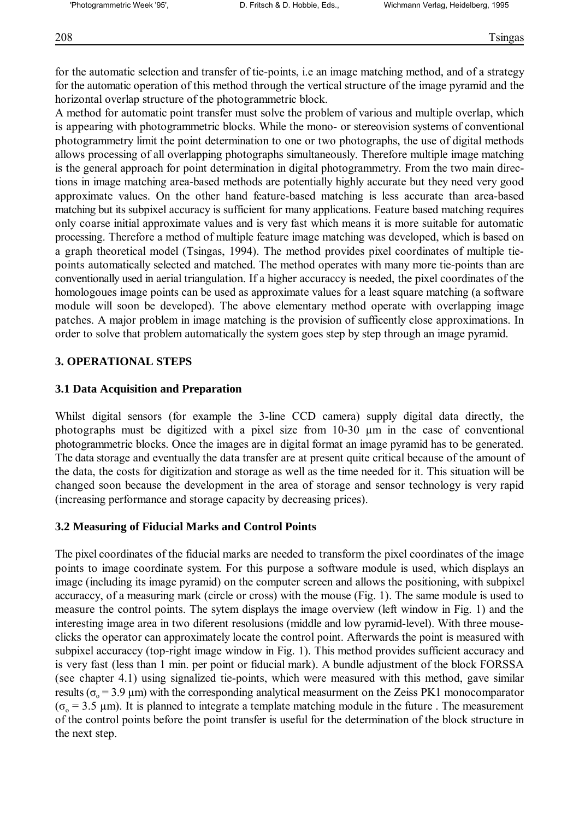for the automatic selection and transfer of tie-points, i.e an image matching method, and of a strategy for the automatic operation of this method through the vertical structure of the image pyramid and the horizontal overlap structure of the photogrammetric block.

A method for automatic point transfer must solve the problem of various and multiple overlap, which is appearing with photogrammetric blocks. While the mono- or stereovision systems of conventional photogrammetry limit the point determination to one or two photographs, the use of digital methods allows processing of all overlapping photographs simultaneously. Therefore multiple image matching is the general approach for point determination in digital photogrammetry. From the two main directions in image matching area-based methods are potentially highly accurate but they need very good approximate values. On the other hand feature-based matching is less accurate than area-based matching but its subpixel accuracy is sufficient for many applications. Feature based matching requires only coarse initial approximate values and is very fast which means it is more suitable for automatic processing. Therefore a method of multiple feature image matching was developed, which is based on a graph theoretical model (Tsingas, 1994). The method provides pixel coordinates of multiple tiepoints automatically selected and matched. The method operates with many more tie-points than are conventionally used in aerial triangulation. If a higher accuraccy is needed, the pixel coordinates of the homologoues image points can be used as approximate values for a least square matching (a software module will soon be developed). The above elementary method operate with overlapping image patches. A major problem in image matching is the provision of sufficently close approximations. In order to solve that problem automatically the system goes step by step through an image pyramid.

## **3. OPERATIONAL STEPS**

### **3.1 Data Acquisition and Preparation**

Whilst digital sensors (for example the 3-line CCD camera) supply digital data directly, the photographs must be digitized with a pixel size from 10-30 µm in the case of conventional photogrammetric blocks. Once the images are in digital format an image pyramid has to be generated. The data storage and eventually the data transfer are at present quite critical because of the amount of the data, the costs for digitization and storage as well as the time needed for it. This situation will be changed soon because the development in the area of storage and sensor technology is very rapid (increasing performance and storage capacity by decreasing prices).

### **3.2 Measuring of Fiducial Marks and Control Points**

The pixel coordinates of the fiducial marks are needed to transform the pixel coordinates of the image points to image coordinate system. For this purpose a software module is used, which displays an image (including its image pyramid) on the computer screen and allows the positioning, with subpixel accuraccy, of a measuring mark (circle or cross) with the mouse (Fig. 1). The same module is used to measure the control points. The sytem displays the image overview (left window in Fig. 1) and the interesting image area in two diferent resolusions (middle and low pyramid-level). With three mouseclicks the operator can approximately locate the control point. Afterwards the point is measured with subpixel accuraccy (top-right image window in Fig. 1). This method provides sufficient accuracy and is very fast (less than 1 min. per point or fiducial mark). A bundle adjustment of the block FORSSA (see chapter 4.1) using signalized tie-points, which were measured with this method, gave similar results ( $\sigma_0$  = 3.9 μm) with the corresponding analytical measurment on the Zeiss PK1 monocomparator  $(\sigma_0 = 3.5 \text{ }\mu\text{m})$ . It is planned to integrate a template matching module in the future. The measurement of the control points before the point transfer is useful for the determination of the block structure in the next step.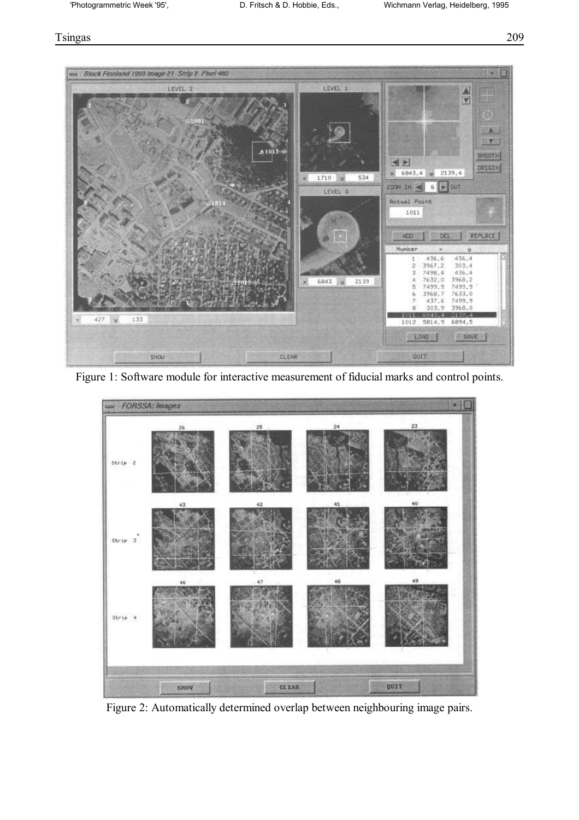### Tsingas 209



Figure 1: Software module for interactive measurement of fiducial marks and control points.



Figure 2: Automatically determined overlap between neighbouring image pairs.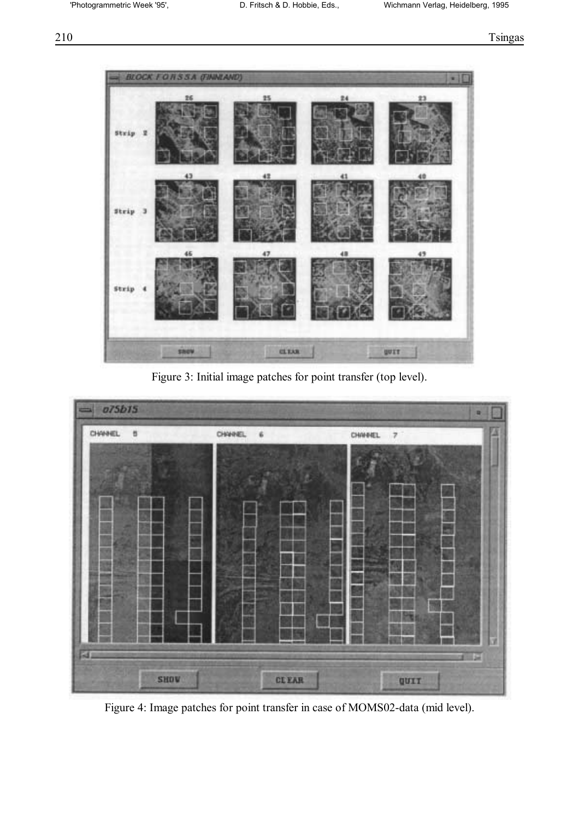

Figure 3: Initial image patches for point transfer (top level).



Figure 4: Image patches for point transfer in case of MOMS02-data (mid level).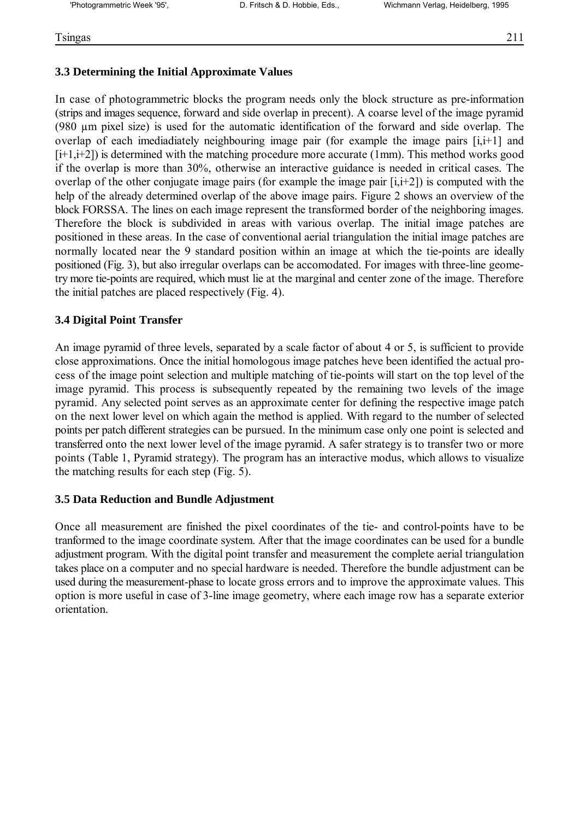## **3.3 Determining the Initial Approximate Values**

In case of photogrammetric blocks the program needs only the block structure as pre-information (strips and images sequence, forward and side overlap in precent). A coarse level of the image pyramid (980 µm pixel size) is used for the automatic identification of the forward and side overlap. The overlap of each imediadiately neighbouring image pair (for example the image pairs [i,i+1] and  $[i+1,i+2]$ ) is determined with the matching procedure more accurate (1mm). This method works good if the overlap is more than 30%, otherwise an interactive guidance is needed in critical cases. The overlap of the other conjugate image pairs (for example the image pair [i,i+2]) is computed with the help of the already determined overlap of the above image pairs. Figure 2 shows an overview of the block FORSSA. The lines on each image represent the transformed border of the neighboring images. Therefore the block is subdivided in areas with various overlap. The initial image patches are positioned in these areas. In the case of conventional aerial triangulation the initial image patches are normally located near the 9 standard position within an image at which the tie-points are ideally positioned (Fig. 3), but also irregular overlaps can be accomodated. For images with three-line geometry more tie-points are required, which must lie at the marginal and center zone of the image. Therefore the initial patches are placed respectively (Fig. 4).

## **3.4 Digital Point Transfer**

An image pyramid of three levels, separated by a scale factor of about 4 or 5, is sufficient to provide close approximations. Once the initial homologous image patches heve been identified the actual process of the image point selection and multiple matching of tie-points will start on the top level of the image pyramid. This process is subsequently repeated by the remaining two levels of the image pyramid. Any selected point serves as an approximate center for defining the respective image patch on the next lower level on which again the method is applied. With regard to the number of selected points per patch different strategies can be pursued. In the minimum case only one point is selected and transferred onto the next lower level of the image pyramid. A safer strategy is to transfer two or more points (Table 1, Pyramid strategy). The program has an interactive modus, which allows to visualize the matching results for each step (Fig. 5).

### **3.5 Data Reduction and Bundle Adjustment**

Once all measurement are finished the pixel coordinates of the tie- and control-points have to be tranformed to the image coordinate system. After that the image coordinates can be used for a bundle adjustment program. With the digital point transfer and measurement the complete aerial triangulation takes place on a computer and no special hardware is needed. Therefore the bundle adjustment can be used during the measurement-phase to locate gross errors and to improve the approximate values. This option is more useful in case of 3-line image geometry, where each image row has a separate exterior orientation.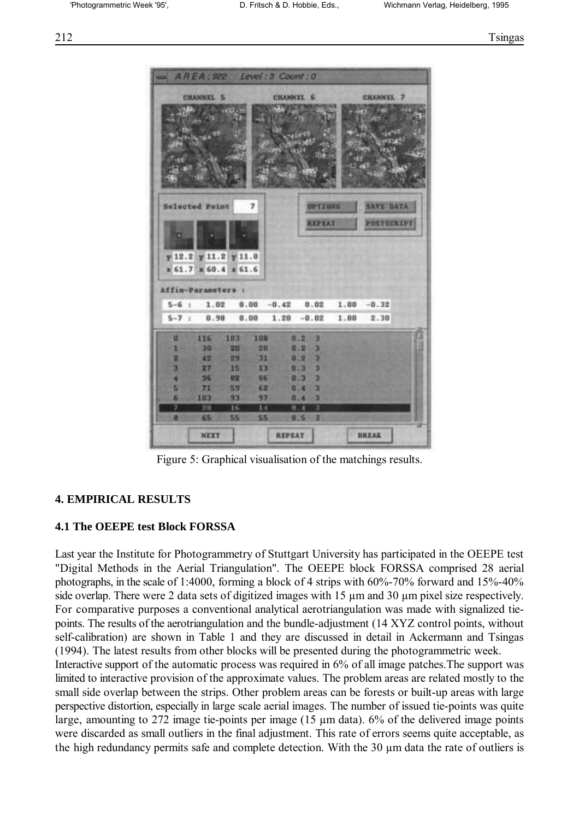

Figure 5: Graphical visualisation of the matchings results.

#### **4. EMPIRICAL RESULTS**

#### **4.1 The OEEPE test Block FORSSA**

Last year the Institute for Photogrammetry of Stuttgart University has participated in the OEEPE test "Digital Methods in the Aerial Triangulation". The OEEPE block FORSSA comprised 28 aerial photographs, in the scale of 1:4000, forming a block of 4 strips with  $60\%$ -70% forward and 15%-40% side overlap. There were 2 data sets of digitized images with 15  $\mu$ m and 30  $\mu$ m pixel size respectively. For comparative purposes a conventional analytical aerotriangulation was made with signalized tiepoints. The results of the aerotriangulation and the bundle-adjustment (14 XYZ control points, without self-calibration) are shown in Table 1 and they are discussed in detail in Ackermann and Tsingas (1994). The latest results from other blocks will be presented during the photogrammetric week. Interactive support of the automatic process was required in 6% of all image patches.The support was limited to interactive provision of the approximate values. The problem areas are related mostly to the small side overlap between the strips. Other problem areas can be forests or built-up areas with large perspective distortion, especially in large scale aerial images. The number of issued tie-points was quite large, amounting to 272 image tie-points per image (15 µm data). 6% of the delivered image points were discarded as small outliers in the final adjustment. This rate of errors seems quite acceptable, as

the high redundancy permits safe and complete detection. With the 30 µm data the rate of outliers is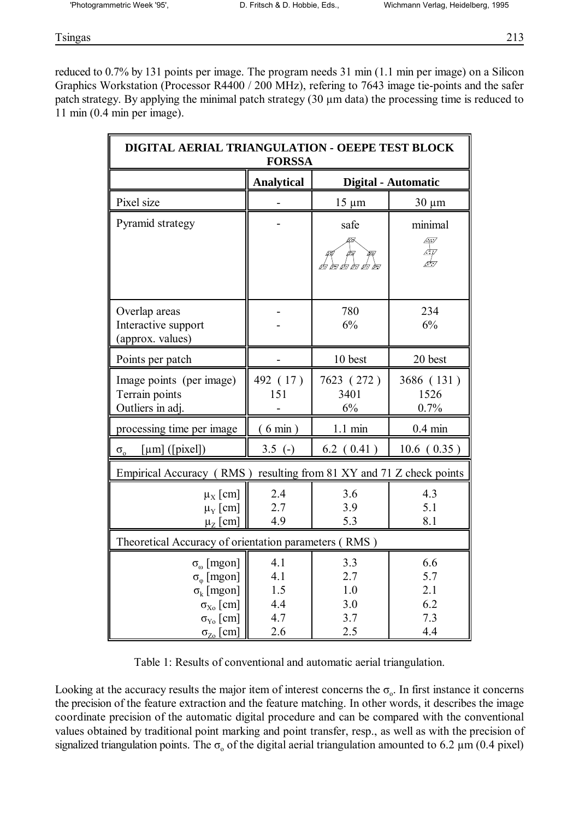Tsingas 213

reduced to 0.7% by 131 points per image. The program needs 31 min (1.1 min per image) on a Silicon Graphics Workstation (Processor R4400 / 200 MHz), refering to 7643 image tie-points and the safer patch strategy. By applying the minimal patch strategy (30 µm data) the processing time is reduced to 11 min (0.4 min per image).

| DIGITAL AERIAL TRIANGULATION - OEEPE TEST BLOCK<br><b>FORSSA</b>                                                              |                                 |                                 |                                 |
|-------------------------------------------------------------------------------------------------------------------------------|---------------------------------|---------------------------------|---------------------------------|
|                                                                                                                               | <b>Analytical</b>               | <b>Digital - Automatic</b>      |                                 |
| Pixel size                                                                                                                    |                                 | $15 \mu m$                      | $30 \mu m$                      |
| Pyramid strategy                                                                                                              |                                 | safe                            | minimal                         |
|                                                                                                                               |                                 | ΩX                              | 47<br>$\frac{1}{\sqrt{2}}$      |
| Overlap areas<br>Interactive support<br>(approx. values)                                                                      |                                 | 780<br>6%                       | 234<br>6%                       |
| Points per patch                                                                                                              |                                 | 10 best                         | 20 best                         |
| Image points (per image)<br>Terrain points<br>Outliers in adj.                                                                | 492 (17)<br>151                 | 7623 (272)<br>3401<br>6%        | 3686 (131)<br>1526<br>0.7%      |
| processing time per image                                                                                                     | (6 min)                         | $1.1 \text{ min}$               | $0.4 \text{ min}$               |
| $[µm]$ ([pixel])<br>$\sigma_{\rm o}$                                                                                          | $3.5$ (-)                       | $6.2$ $(0.41)$                  | 10.6(0.35)                      |
| Empirical Accuracy (RMS) resulting from 81 XY and 71 Z check points                                                           |                                 |                                 |                                 |
| $\mu_X$ [cm]<br>$\mu_{\rm Y}$ [cm]<br>$\mu_{Z}$ [cm]                                                                          | 2.4<br>2.7<br>4.9               | 3.6<br>3.9<br>5.3               | 4.3<br>5.1<br>8.1               |
| Theoretical Accuracy of orientation parameters (RMS)                                                                          |                                 |                                 |                                 |
| $\sigma_{\omega}$ [mgon]<br>$\sigma_{\rm o}$ [mgon]<br>$\sigma_k$ [mgon]<br>$\sigma_{X_0}$ [cm]<br>$\sigma_{\text{Y}_0}$ [cm] | 4.1<br>4.1<br>1.5<br>4.4<br>4.7 | 3.3<br>2.7<br>1.0<br>3.0<br>3.7 | 6.6<br>5.7<br>2.1<br>6.2<br>7.3 |
| $\sigma_{Z_0}$ [cm]                                                                                                           | 2.6                             | 2.5                             | 4.4                             |

Table 1: Results of conventional and automatic aerial triangulation.

Looking at the accuracy results the major item of interest concerns the  $\sigma_{0}$ . In first instance it concerns the precision of the feature extraction and the feature matching. In other words, it describes the image coordinate precision of the automatic digital procedure and can be compared with the conventional values obtained by traditional point marking and point transfer, resp., as well as with the precision of signalized triangulation points. The  $\sigma_0$  of the digital aerial triangulation amounted to 6.2  $\mu$ m (0.4 pixel)